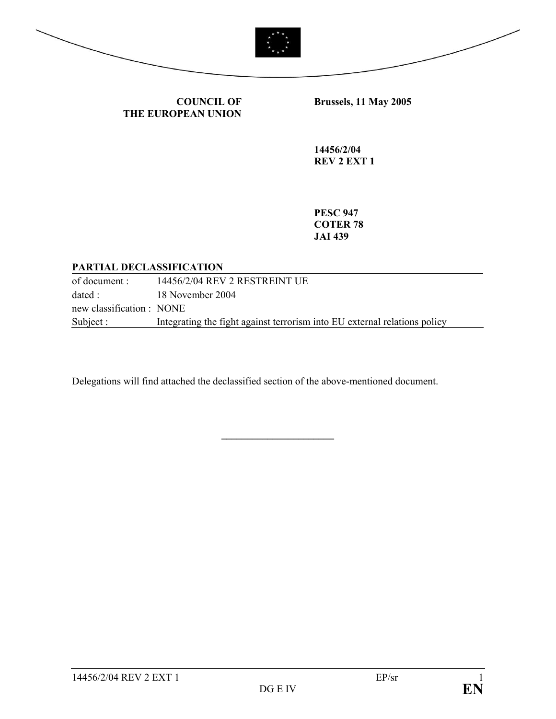

**Brussels, 11 May 2005** 

**COUNCIL OF THE EUROPEAN UNION**

> **14456/2/04 REV 2 EXT 1**

**PESC 947 COTER 78 JAI 439** 

### **PARTIAL DECLASSIFICATION**

of document : 14456/2/04 REV 2 RESTREINT UE dated : 18 November 2004 new classification : NONE Subject : Integrating the fight against terrorism into EU external relations policy

Delegations will find attached the declassified section of the above-mentioned document.

**\_\_\_\_\_\_\_\_\_\_\_\_\_\_\_\_\_\_\_\_\_\_**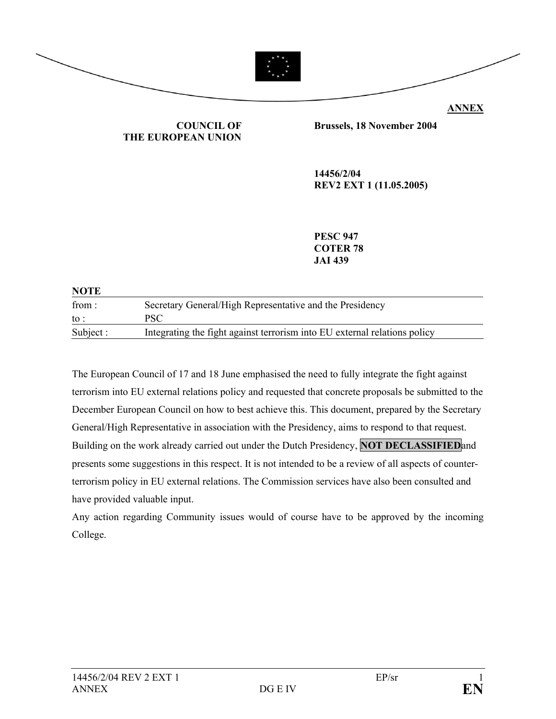

### **COUNCIL OF THE EUROPEAN UNION**

**Brussels, 18 November 2004** 

**14456/2/04 REV2 EXT 1 (11.05.2005)** 

**PESC 947 COTER 78 JAI 439** 

| <b>NOTE</b>     |                                                                           |
|-----------------|---------------------------------------------------------------------------|
| from :          | Secretary General/High Representative and the Presidency                  |
| $\mathrm{to}$ : | PSC.                                                                      |
| Subject :       | Integrating the fight against terrorism into EU external relations policy |

The European Council of 17 and 18 June emphasised the need to fully integrate the fight against terrorism into EU external relations policy and requested that concrete proposals be submitted to the December European Council on how to best achieve this. This document, prepared by the Secretary General/High Representative in association with the Presidency, aims to respond to that request. Building on the work already carried out under the Dutch Presidency, **NOT DECLASSIFIED**and presents some suggestions in this respect. It is not intended to be a review of all aspects of counterterrorism policy in EU external relations. The Commission services have also been consulted and have provided valuable input.

Any action regarding Community issues would of course have to be approved by the incoming College.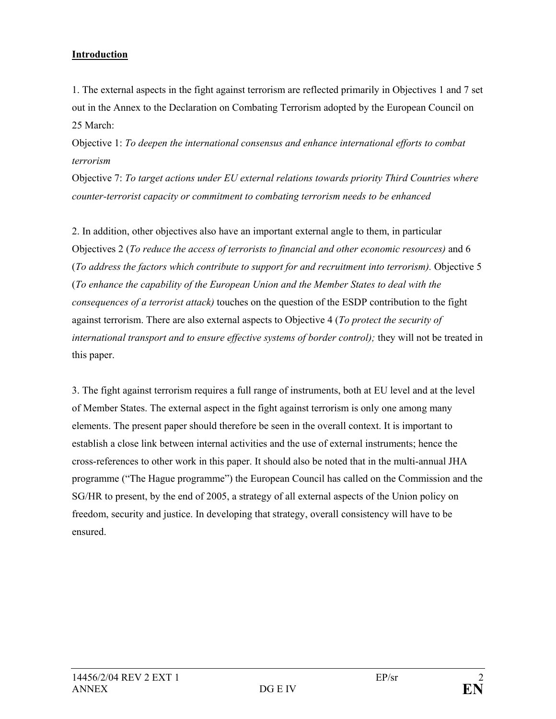### **Introduction**

1. The external aspects in the fight against terrorism are reflected primarily in Objectives 1 and 7 set out in the Annex to the Declaration on Combating Terrorism adopted by the European Council on 25 March:

Objective 1: *To deepen the international consensus and enhance international efforts to combat terrorism* 

Objective 7: *To target actions under EU external relations towards priority Third Countries where counter-terrorist capacity or commitment to combating terrorism needs to be enhanced* 

2. In addition, other objectives also have an important external angle to them, in particular Objectives 2 (*To reduce the access of terrorists to financial and other economic resources)* and 6 (*To address the factors which contribute to support for and recruitment into terrorism).* Objective 5 (*To enhance the capability of the European Union and the Member States to deal with the consequences of a terrorist attack)* touches on the question of the ESDP contribution to the fight against terrorism. There are also external aspects to Objective 4 (*To protect the security of international transport and to ensure effective systems of border control);* they will not be treated in this paper.

3. The fight against terrorism requires a full range of instruments, both at EU level and at the level of Member States. The external aspect in the fight against terrorism is only one among many elements. The present paper should therefore be seen in the overall context. It is important to establish a close link between internal activities and the use of external instruments; hence the cross-references to other work in this paper. It should also be noted that in the multi-annual JHA programme ("The Hague programme") the European Council has called on the Commission and the SG/HR to present, by the end of 2005, a strategy of all external aspects of the Union policy on freedom, security and justice. In developing that strategy, overall consistency will have to be ensured.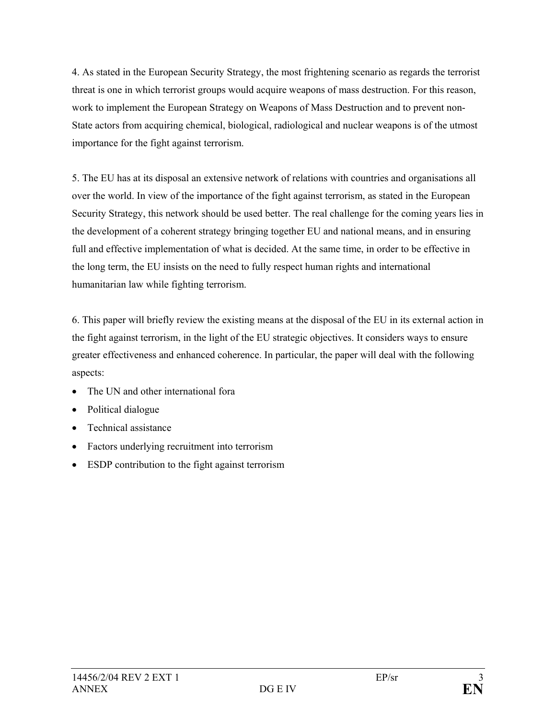4. As stated in the European Security Strategy, the most frightening scenario as regards the terrorist threat is one in which terrorist groups would acquire weapons of mass destruction. For this reason, work to implement the European Strategy on Weapons of Mass Destruction and to prevent non-State actors from acquiring chemical, biological, radiological and nuclear weapons is of the utmost importance for the fight against terrorism.

5. The EU has at its disposal an extensive network of relations with countries and organisations all over the world. In view of the importance of the fight against terrorism, as stated in the European Security Strategy, this network should be used better. The real challenge for the coming years lies in the development of a coherent strategy bringing together EU and national means, and in ensuring full and effective implementation of what is decided. At the same time, in order to be effective in the long term, the EU insists on the need to fully respect human rights and international humanitarian law while fighting terrorism.

6. This paper will briefly review the existing means at the disposal of the EU in its external action in the fight against terrorism, in the light of the EU strategic objectives. It considers ways to ensure greater effectiveness and enhanced coherence. In particular, the paper will deal with the following aspects:

- The UN and other international fora
- Political dialogue
- Technical assistance
- Factors underlying recruitment into terrorism
- ESDP contribution to the fight against terrorism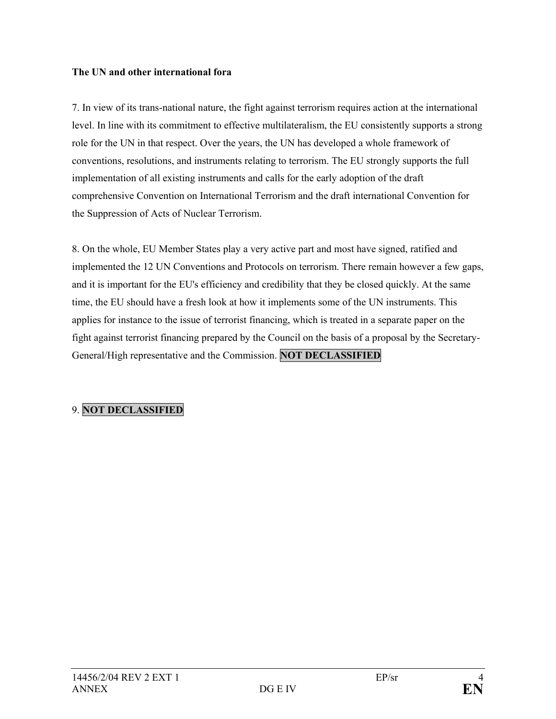### **The UN and other international fora**

7. In view of its trans-national nature, the fight against terrorism requires action at the international level. In line with its commitment to effective multilateralism, the EU consistently supports a strong role for the UN in that respect. Over the years, the UN has developed a whole framework of conventions, resolutions, and instruments relating to terrorism. The EU strongly supports the full implementation of all existing instruments and calls for the early adoption of the draft comprehensive Convention on International Terrorism and the draft international Convention for the Suppression of Acts of Nuclear Terrorism.

8. On the whole, EU Member States play a very active part and most have signed, ratified and implemented the 12 UN Conventions and Protocols on terrorism. There remain however a few gaps, and it is important for the EU's efficiency and credibility that they be closed quickly. At the same time, the EU should have a fresh look at how it implements some of the UN instruments. This applies for instance to the issue of terrorist financing, which is treated in a separate paper on the fight against terrorist financing prepared by the Council on the basis of a proposal by the Secretary-General/High representative and the Commission. **NOT DECLASSIFIED**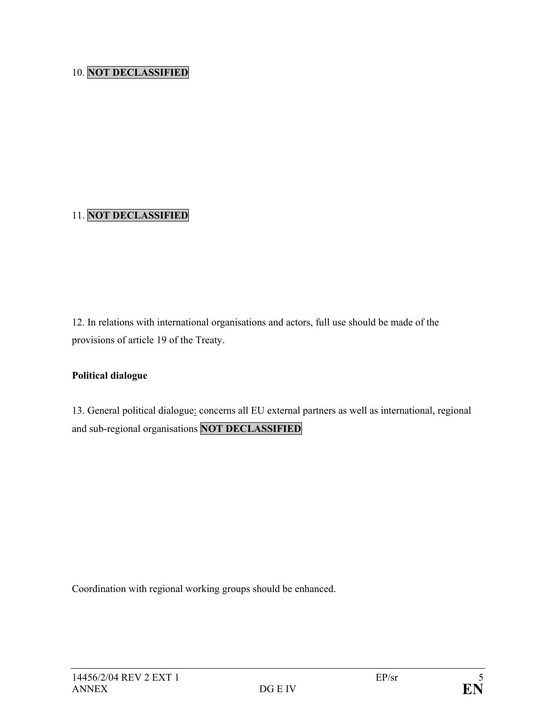## 10. **NOT DECLASSIFIED**

## 11. **NOT DECLASSIFIED**

12. In relations with international organisations and actors, full use should be made of the provisions of article 19 of the Treaty.

### **Political dialogue**

13. General political dialogue: concerns all EU external partners as well as international, regional and sub-regional organisations **NOT DECLASSIFIED** 

Coordination with regional working groups should be enhanced.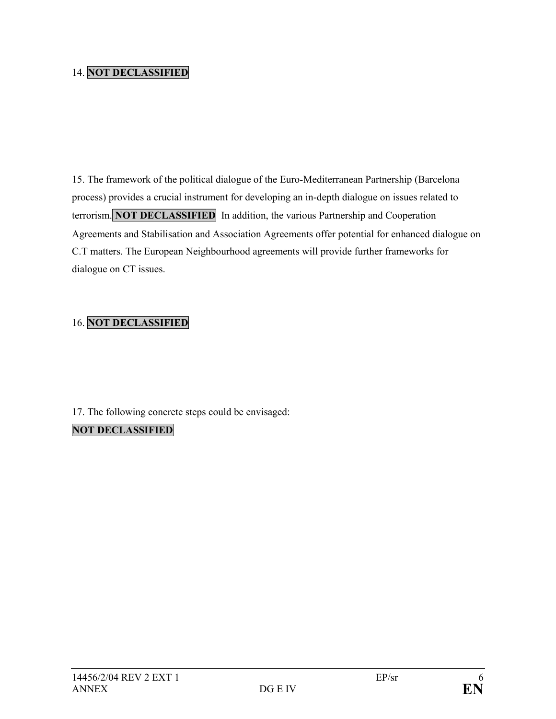# 14. **NOT DECLASSIFIED**

15. The framework of the political dialogue of the Euro-Mediterranean Partnership (Barcelona process) provides a crucial instrument for developing an in-depth dialogue on issues related to terrorism. **NOT DECLASSIFIED** In addition, the various Partnership and Cooperation Agreements and Stabilisation and Association Agreements offer potential for enhanced dialogue on C.T matters. The European Neighbourhood agreements will provide further frameworks for dialogue on CT issues.

## 16. **NOT DECLASSIFIED**

17. The following concrete steps could be envisaged: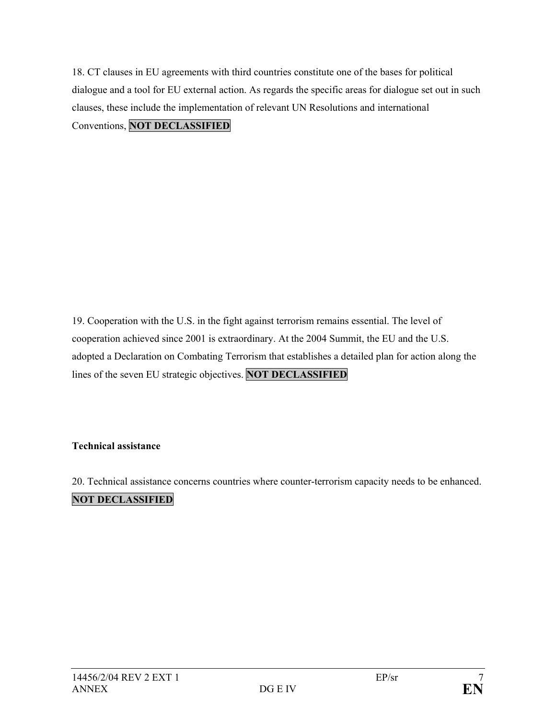18. CT clauses in EU agreements with third countries constitute one of the bases for political dialogue and a tool for EU external action. As regards the specific areas for dialogue set out in such clauses, these include the implementation of relevant UN Resolutions and international

Conventions, **NOT DECLASSIFIED** 

19. Cooperation with the U.S. in the fight against terrorism remains essential. The level of cooperation achieved since 2001 is extraordinary. At the 2004 Summit, the EU and the U.S. adopted a Declaration on Combating Terrorism that establishes a detailed plan for action along the lines of the seven EU strategic objectives. **NOT DECLASSIFIED** 

### **Technical assistance**

20. Technical assistance concerns countries where counter-terrorism capacity needs to be enhanced.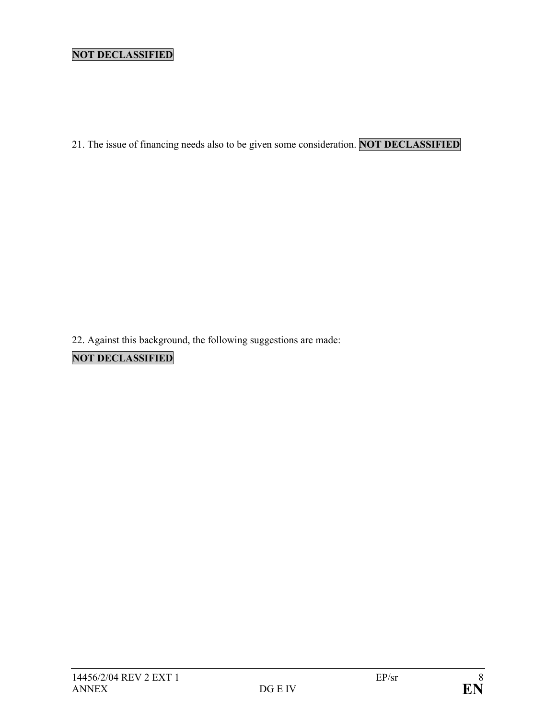## **NOT DECLASSIFIED**

21. The issue of financing needs also to be given some consideration. **NOT DECLASSIFIED**

22. Against this background, the following suggestions are made: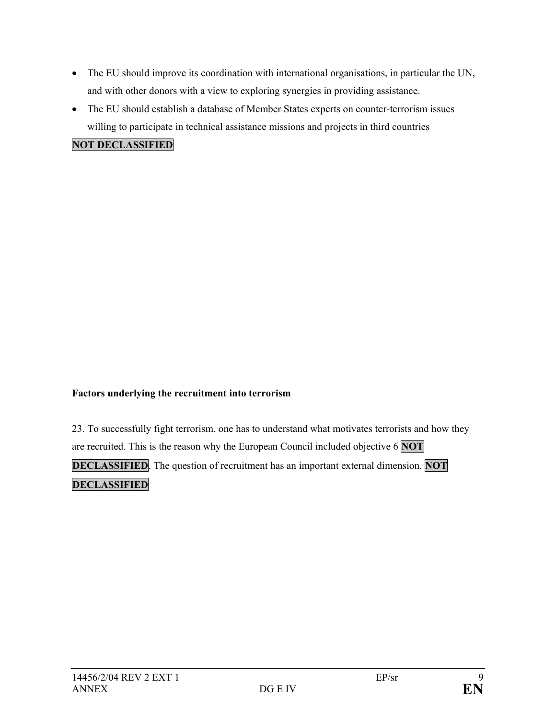- The EU should improve its coordination with international organisations, in particular the UN, and with other donors with a view to exploring synergies in providing assistance.
- The EU should establish a database of Member States experts on counter-terrorism issues willing to participate in technical assistance missions and projects in third countries

### **NOT DECLASSIFIED**

#### **Factors underlying the recruitment into terrorism**

23. To successfully fight terrorism, one has to understand what motivates terrorists and how they are recruited. This is the reason why the European Council included objective 6 **NOT DECLASSIFIED**. The question of recruitment has an important external dimension. **NOT DECLASSIFIED**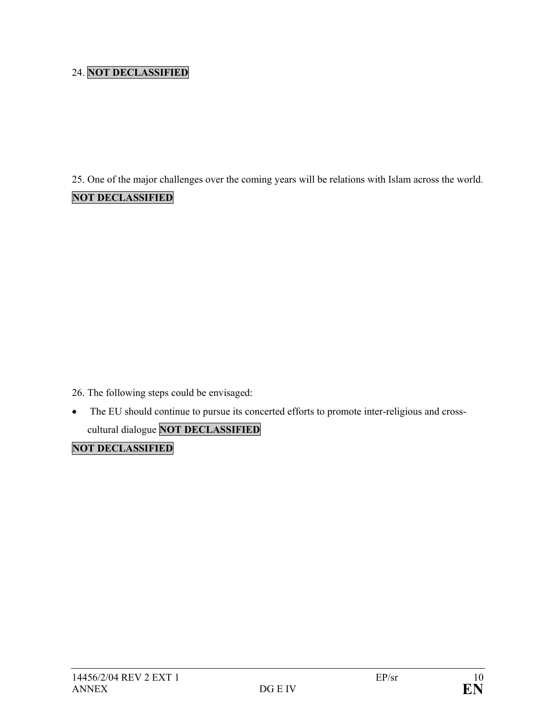# 24. **NOT DECLASSIFIED**

25. One of the major challenges over the coming years will be relations with Islam across the world.

# **NOT DECLASSIFIED**

26. The following steps could be envisaged:

• The EU should continue to pursue its concerted efforts to promote inter-religious and crosscultural dialogue **NOT DECLASSIFIED**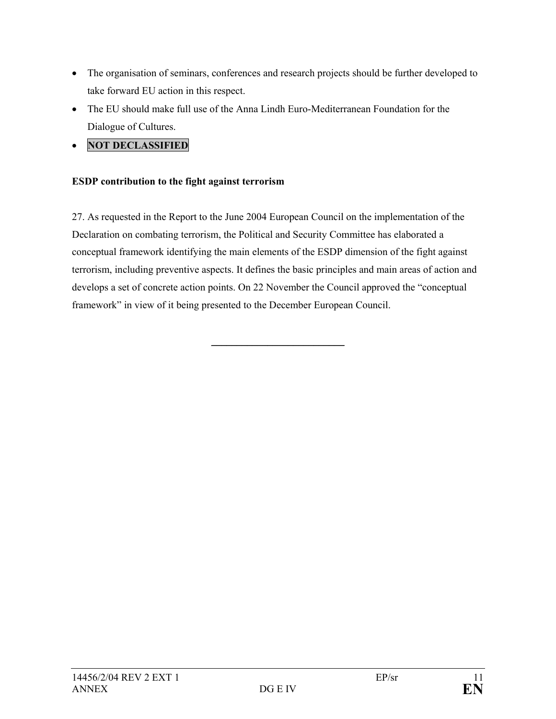- The organisation of seminars, conferences and research projects should be further developed to take forward EU action in this respect.
- The EU should make full use of the Anna Lindh Euro-Mediterranean Foundation for the Dialogue of Cultures.

## • **NOT DECLASSIFIED**

### **ESDP contribution to the fight against terrorism**

27. As requested in the Report to the June 2004 European Council on the implementation of the Declaration on combating terrorism, the Political and Security Committee has elaborated a conceptual framework identifying the main elements of the ESDP dimension of the fight against terrorism, including preventive aspects. It defines the basic principles and main areas of action and develops a set of concrete action points. On 22 November the Council approved the "conceptual framework" in view of it being presented to the December European Council.

 $\mathcal{L}_\text{max}$  , where  $\mathcal{L}_\text{max}$  is the set of  $\mathcal{L}_\text{max}$